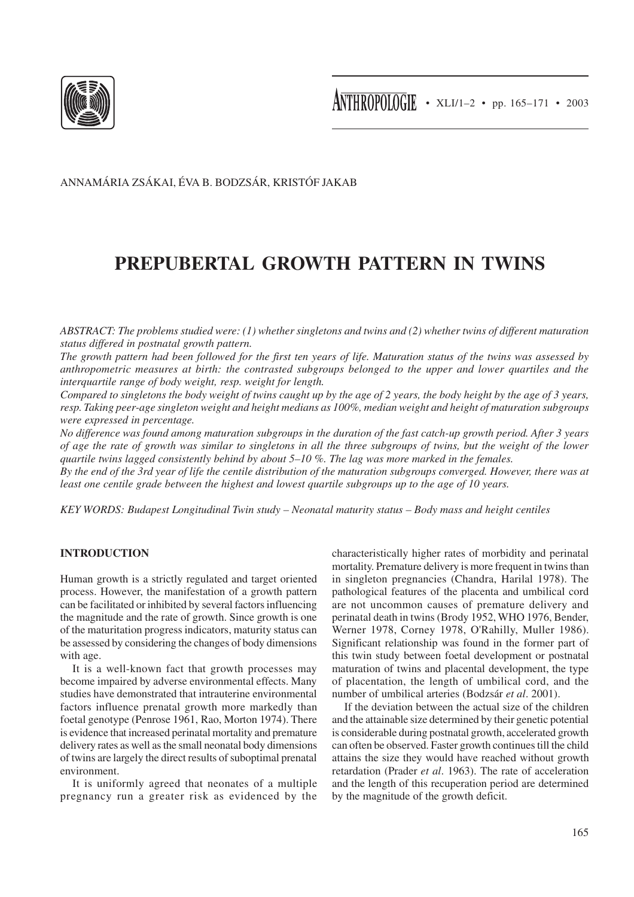

ANNAMÁRIA ZSÁKAI, ÉVA B. BODZSÁR, KRISTÓF JAKAB

# **PREPUBERTAL GROWTH PATTERN IN TWINS**

*ABSTRACT: The problems studied were: (1) whether singletons and twins and (2) whether twins of different maturation status differed in postnatal growth pattern.*

*The growth pattern had been followed for the first ten years of life. Maturation status of the twins was assessed by anthropometric measures at birth: the contrasted subgroups belonged to the upper and lower quartiles and the interquartile range of body weight, resp. weight for length.*

*Compared to singletons the body weight of twins caught up by the age of 2 years, the body height by the age of 3 years, resp. Taking peer-age singleton weight and height medians as 100%, median weight and height of maturation subgroups were expressed in percentage.*

*No difference was found among maturation subgroups in the duration of the fast catch-up growth period. After 3 years of age the rate of growth was similar to singletons in all the three subgroups of twins, but the weight of the lower quartile twins lagged consistently behind by about 5–10 %. The lag was more marked in the females.*

*By the end of the 3rd year of life the centile distribution of the maturation subgroups converged. However, there was at least one centile grade between the highest and lowest quartile subgroups up to the age of 10 years.*

*KEY WORDS: Budapest Longitudinal Twin study – Neonatal maturity status – Body mass and height centiles*

## **INTRODUCTION**

Human growth is a strictly regulated and target oriented process. However, the manifestation of a growth pattern can be facilitated or inhibited by several factors influencing the magnitude and the rate of growth. Since growth is one of the maturitation progress indicators, maturity status can be assessed by considering the changes of body dimensions with age.

It is a well-known fact that growth processes may become impaired by adverse environmental effects. Many studies have demonstrated that intrauterine environmental factors influence prenatal growth more markedly than foetal genotype (Penrose 1961, Rao, Morton 1974). There is evidence that increased perinatal mortality and premature delivery rates as well as the small neonatal body dimensions of twins are largely the direct results of suboptimal prenatal environment.

It is uniformly agreed that neonates of a multiple pregnancy run a greater risk as evidenced by the characteristically higher rates of morbidity and perinatal mortality. Premature delivery is more frequent in twins than in singleton pregnancies (Chandra, Harilal 1978). The pathological features of the placenta and umbilical cord are not uncommon causes of premature delivery and perinatal death in twins (Brody 1952, WHO 1976, Bender, Werner 1978, Corney 1978, O'Rahilly, Muller 1986). Significant relationship was found in the former part of this twin study between foetal development or postnatal maturation of twins and placental development, the type of placentation, the length of umbilical cord, and the number of umbilical arteries (Bodzsár *et al*. 2001).

If the deviation between the actual size of the children and the attainable size determined by their genetic potential is considerable during postnatal growth, accelerated growth can often be observed. Faster growth continues till the child attains the size they would have reached without growth retardation (Prader *et al*. 1963). The rate of acceleration and the length of this recuperation period are determined by the magnitude of the growth deficit.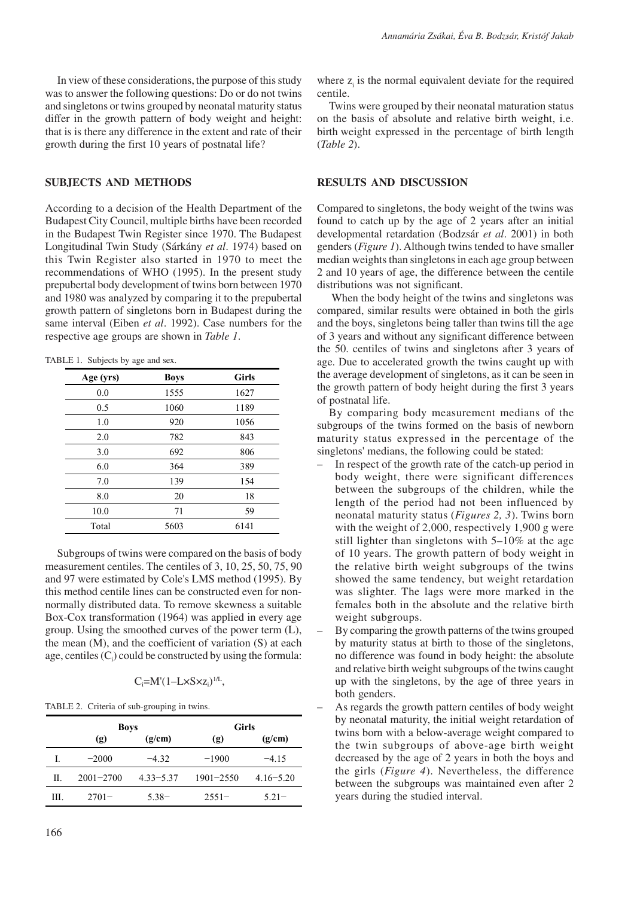In view of these considerations, the purpose of this study was to answer the following questions: Do or do not twins and singletons or twins grouped by neonatal maturity status differ in the growth pattern of body weight and height: that is is there any difference in the extent and rate of their growth during the first 10 years of postnatal life?

#### **SUBJECTS AND METHODS**

According to a decision of the Health Department of the Budapest City Council, multiple births have been recorded in the Budapest Twin Register since 1970. The Budapest Longitudinal Twin Study (Sárkány *et al*. 1974) based on this Twin Register also started in 1970 to meet the recommendations of WHO (1995). In the present study prepubertal body development of twins born between 1970 and 1980 was analyzed by comparing it to the prepubertal growth pattern of singletons born in Budapest during the same interval (Eiben *et al*. 1992). Case numbers for the respective age groups are shown in *Table 1*.

TABLE 1. Subjects by age and sex.

| Age (yrs) | <b>Boys</b> | <b>Girls</b> |
|-----------|-------------|--------------|
| 0.0       | 1555        | 1627         |
| 0.5       | 1060        | 1189         |
| 1.0       | 920         | 1056         |
| 2.0       | 782         | 843          |
| 3.0       | 692         | 806          |
| 6.0       | 364         | 389          |
| 7.0       | 139         | 154          |
| 8.0       | 20          | 18           |
| 10.0      | 71          | 59           |
| Total     | 5603        | 6141         |

Subgroups of twins were compared on the basis of body measurement centiles. The centiles of 3, 10, 25, 50, 75, 90 and 97 were estimated by Cole's LMS method (1995). By this method centile lines can be constructed even for nonnormally distributed data. To remove skewness a suitable Box-Cox transformation (1964) was applied in every age group. Using the smoothed curves of the power term (L), the mean (M), and the coefficient of variation (S) at each age, centiles  $(C_i)$  could be constructed by using the formula:

 $C_i = M'(1 - L \times S \times z_i)^{1/L}$ 

TABLE 2. Criteria of sub-grouping in twins.

|     | <b>Boys</b>   |               | <b>Girls</b>                |               |  |
|-----|---------------|---------------|-----------------------------|---------------|--|
|     | (g)           | (g/cm)        | $\left( \mathbf{g} \right)$ | (g/cm)        |  |
| L   | $-2000$       | $-432$        | $-1900$                     | $-415$        |  |
| H.  | $2001 - 2700$ | $4.33 - 5.37$ | $1901 - 2550$               | $4.16 - 5.20$ |  |
| HL. | $2701 -$      | $5.38 -$      | $2551-$                     | $521 -$       |  |

where  $z<sub>i</sub>$  is the normal equivalent deviate for the required centile.

Twins were grouped by their neonatal maturation status on the basis of absolute and relative birth weight, i.e. birth weight expressed in the percentage of birth length (*Table 2*).

#### **RESULTS AND DISCUSSION**

Compared to singletons, the body weight of the twins was found to catch up by the age of 2 years after an initial developmental retardation (Bodzsár *et al*. 2001) in both genders (*Figure 1*). Although twins tended to have smaller median weights than singletons in each age group between 2 and 10 years of age, the difference between the centile distributions was not significant.

 When the body height of the twins and singletons was compared, similar results were obtained in both the girls and the boys, singletons being taller than twins till the age of 3 years and without any significant difference between the 50. centiles of twins and singletons after 3 years of age. Due to accelerated growth the twins caught up with the average development of singletons, as it can be seen in the growth pattern of body height during the first 3 years of postnatal life.

By comparing body measurement medians of the subgroups of the twins formed on the basis of newborn maturity status expressed in the percentage of the singletons' medians, the following could be stated:

- In respect of the growth rate of the catch-up period in body weight, there were significant differences between the subgroups of the children, while the length of the period had not been influenced by neonatal maturity status (*Figures 2, 3*). Twins born with the weight of 2,000, respectively 1,900 g were still lighter than singletons with 5–10% at the age of 10 years. The growth pattern of body weight in the relative birth weight subgroups of the twins showed the same tendency, but weight retardation was slighter. The lags were more marked in the females both in the absolute and the relative birth weight subgroups.
- By comparing the growth patterns of the twins grouped by maturity status at birth to those of the singletons, no difference was found in body height: the absolute and relative birth weight subgroups of the twins caught up with the singletons, by the age of three years in both genders.
- As regards the growth pattern centiles of body weight by neonatal maturity, the initial weight retardation of twins born with a below-average weight compared to the twin subgroups of above-age birth weight decreased by the age of 2 years in both the boys and the girls (*Figure 4*). Nevertheless, the difference between the subgroups was maintained even after 2 years during the studied interval.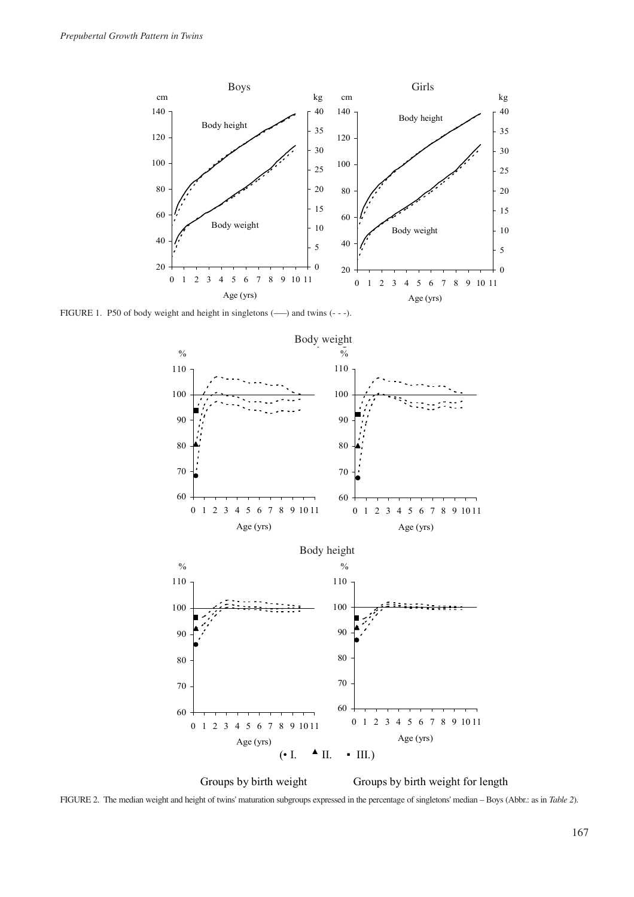

FIGURE 1. P50 of body weight and height in singletons (–––) and twins (- - -).



Groups by birth weight Groups by birth weight for length

FIGURE 2. The median weight and height of twins' maturation subgroups expressed in the percentage of singletons' median – Boys (Abbr.: as in *Table 2*).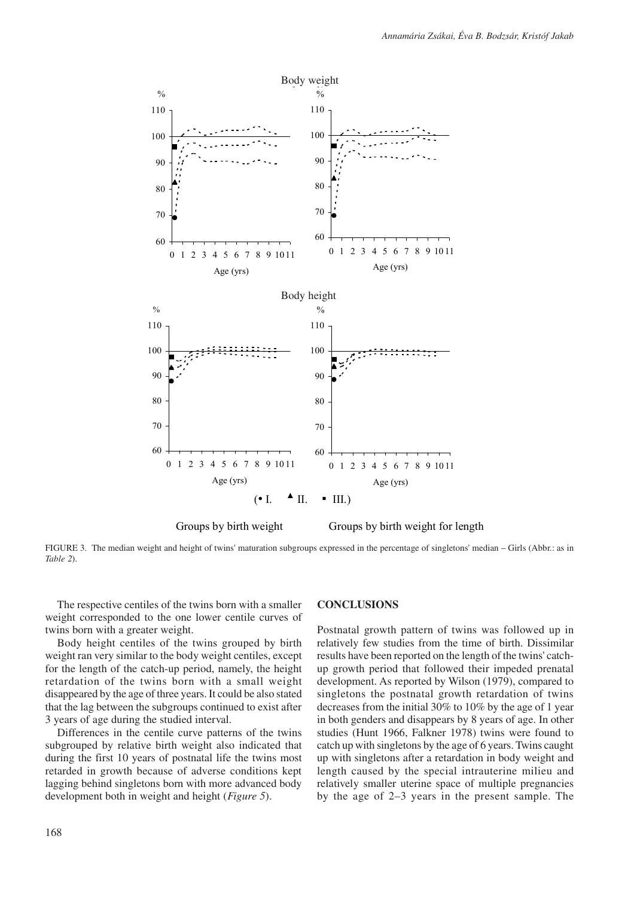

Groups by birth weight Groups by birth weight for length

FIGURE 3. The median weight and height of twins' maturation subgroups expressed in the percentage of singletons' median – Girls (Abbr.: as in *Table 2*).

The respective centiles of the twins born with a smaller weight corresponded to the one lower centile curves of twins born with a greater weight.

Body height centiles of the twins grouped by birth weight ran very similar to the body weight centiles, except for the length of the catch-up period, namely, the height retardation of the twins born with a small weight disappeared by the age of three years. It could be also stated that the lag between the subgroups continued to exist after 3 years of age during the studied interval.

Differences in the centile curve patterns of the twins subgrouped by relative birth weight also indicated that during the first 10 years of postnatal life the twins most retarded in growth because of adverse conditions kept lagging behind singletons born with more advanced body development both in weight and height (*Figure 5*).

#### **CONCLUSIONS**

Postnatal growth pattern of twins was followed up in relatively few studies from the time of birth. Dissimilar results have been reported on the length of the twins' catchup growth period that followed their impeded prenatal development. As reported by Wilson (1979), compared to singletons the postnatal growth retardation of twins decreases from the initial 30% to 10% by the age of 1 year in both genders and disappears by 8 years of age. In other studies (Hunt 1966, Falkner 1978) twins were found to catch up with singletons by the age of 6 years. Twins caught up with singletons after a retardation in body weight and length caused by the special intrauterine milieu and relatively smaller uterine space of multiple pregnancies by the age of 2–3 years in the present sample. The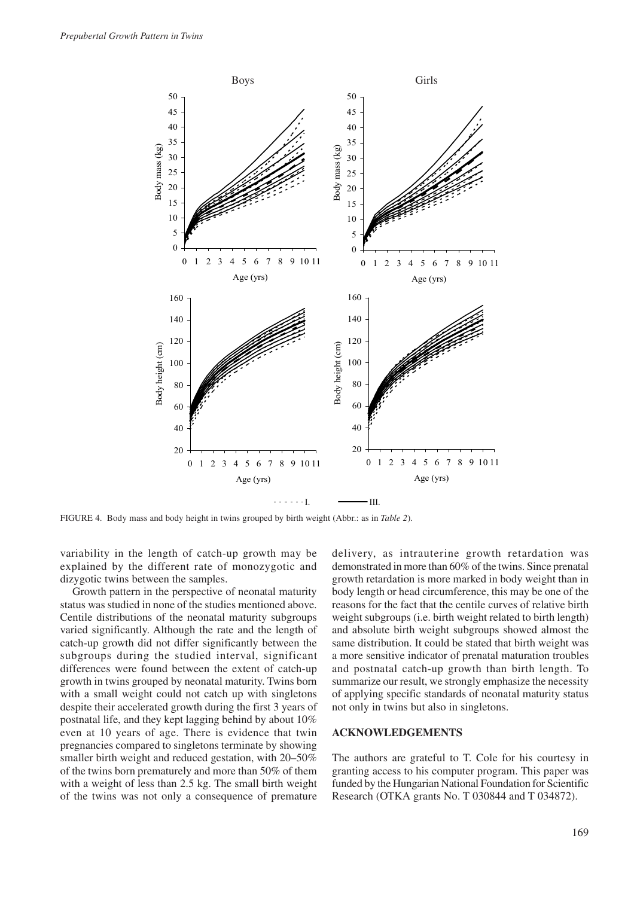

FIGURE 4. Body mass and body height in twins grouped by birth weight (Abbr.: as in *Table 2*).

variability in the length of catch-up growth may be explained by the different rate of monozygotic and dizygotic twins between the samples.

Growth pattern in the perspective of neonatal maturity status was studied in none of the studies mentioned above. Centile distributions of the neonatal maturity subgroups varied significantly. Although the rate and the length of catch-up growth did not differ significantly between the subgroups during the studied interval, significant differences were found between the extent of catch-up growth in twins grouped by neonatal maturity. Twins born with a small weight could not catch up with singletons despite their accelerated growth during the first 3 years of postnatal life, and they kept lagging behind by about 10% even at 10 years of age. There is evidence that twin pregnancies compared to singletons terminate by showing smaller birth weight and reduced gestation, with 20–50% of the twins born prematurely and more than 50% of them with a weight of less than 2.5 kg. The small birth weight of the twins was not only a consequence of premature

delivery, as intrauterine growth retardation was demonstrated in more than 60% of the twins. Since prenatal growth retardation is more marked in body weight than in body length or head circumference, this may be one of the reasons for the fact that the centile curves of relative birth weight subgroups (i.e. birth weight related to birth length) and absolute birth weight subgroups showed almost the same distribution. It could be stated that birth weight was a more sensitive indicator of prenatal maturation troubles and postnatal catch-up growth than birth length. To summarize our result, we strongly emphasize the necessity of applying specific standards of neonatal maturity status not only in twins but also in singletons.

### **ACKNOWLEDGEMENTS**

The authors are grateful to T. Cole for his courtesy in granting access to his computer program. This paper was funded by the Hungarian National Foundation for Scientific Research (OTKA grants No. T 030844 and T 034872).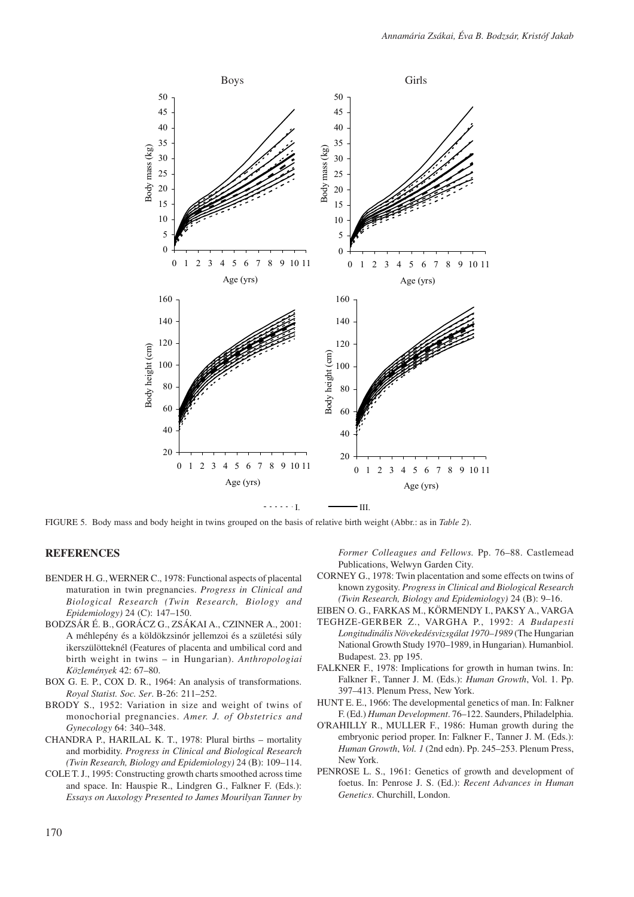

FIGURE 5. Body mass and body height in twins grouped on the basis of relative birth weight (Abbr.: as in *Table 2*).

## **REFERENCES**

- BENDER H. G., WERNER C., 1978: Functional aspects of placental maturation in twin pregnancies. *Progress in Clinical and Biological Research (Twin Research, Biology and Epidemiology)* 24 (C): 147–150.
- BODZSÁR É. B., GORÁCZ G., ZSÁKAI A., CZINNER A., 2001: A méhlepény és a köldökzsinór jellemzoi és a születési súly ikerszülötteknél (Features of placenta and umbilical cord and birth weight in twins – in Hungarian). *Anthropologiai Közlemények* 42: 67–80.
- BOX G. E. P., COX D. R., 1964: An analysis of transformations. *Royal Statist. Soc. Ser*. B-26: 211–252.
- BRODY S., 1952: Variation in size and weight of twins of monochorial pregnancies. *Amer. J. of Obstetrics and Gynecology* 64: 340–348.
- CHANDRA P., HARILAL K. T., 1978: Plural births mortality and morbidity. *Progress in Clinical and Biological Research (Twin Research, Biology and Epidemiology)* 24 (B): 109–114.
- COLE T. J., 1995: Constructing growth charts smoothed across time and space. In: Hauspie R., Lindgren G., Falkner F. (Eds.): *Essays on Auxology Presented to James Mourilyan Tanner by*

*Former Colleagues and Fellows.* Pp. 76–88. Castlemead Publications, Welwyn Garden City.

- CORNEY G., 1978: Twin placentation and some effects on twins of known zygosity. *Progress in Clinical and Biological Research (Twin Research, Biology and Epidemiology)* 24 (B): 9–16.
- EIBEN O. G., FARKAS M., KÖRMENDY I., PAKSY A., VARGA TEGHZE-GERBER Z., VARGHA P., 1992: *A Budapesti*
- *Longitudinális Növekedésvizsgálat 1970–1989* (The Hungarian National Growth Study 1970–1989, in Hungarian)*.* Humanbiol. Budapest. 23. pp 195.
- FALKNER F., 1978: Implications for growth in human twins. In: Falkner F., Tanner J. M. (Eds.): *Human Growth*, Vol. 1. Pp. 397–413. Plenum Press, New York.
- HUNT E. E., 1966: The developmental genetics of man. In: Falkner F. (Ed.) *Human Development*. 76–122. Saunders, Philadelphia.
- O'RAHILLY R., MULLER F., 1986: Human growth during the embryonic period proper. In: Falkner F., Tanner J. M. (Eds.): *Human Growth*, *Vol. 1* (2nd edn). Pp. 245–253. Plenum Press, New York.
- PENROSE L. S., 1961: Genetics of growth and development of foetus. In: Penrose J. S. (Ed.): *Recent Advances in Human Genetics*. Churchill, London.